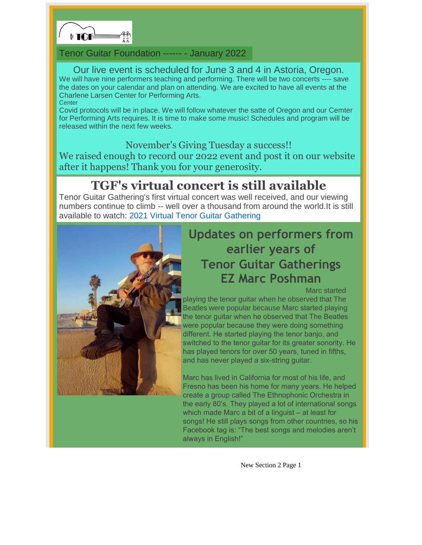

#### Tenor Guitar Foundation ------ - January 2022

#### Our live event is scheduled for June 3 and 4 in Astoria, Oregon. We will have nine performers teaching and performing. There will be two concerts ---- save the dates on your calendar and plan on attending. We are excited to have all events at the Charlene Larsen Center for Performing Arts. **Center**

Covid protocols will be in place. We will follow whatever the satte of Oregon and our Cemter for Performing Arts requires. It is time to make some music! Schedules and program will be released within the next few weeks.

### November's Giving Tuesday a success!!

We raised enough to record our 2022 event and post it on our website after it happens! Thank you for your generosity.

## **TGF's virtual concert is still available**

Tenor Guitar Gathering's first virtual concert was well received, and our viewing numbers continue to climb -- well over a thousand from around the world.It is still available to watch: 2021 Virtual Tenor Guitar Gathering



# **Updates on performers from earlier years of Tenor Guitar Gatherings [EZ Marc](https://www.tenorguitargathering.info) Poshman**

Marc started

playing the tenor guitar when he observed that The Beatles were popular because Marc started playing the tenor guitar when he observed that The Beatles were popular because they were doing something different. He started playing the tenor banjo, and switched to the tenor guitar for its greater sonority. He has played tenors for over 50 years, tuned in fifths, and has never played a six-string guitar.

Marc has lived in California for most of his life, and Fresno has been his home for many years. He helped create a group called The Ethnophonic Orchestra in the early 80's. They played a lot of international songs which made Marc a bit of a linguist – at least for songs! He still plays songs from other countries, so his Facebook tag is: "The best songs and melodies aren't always in English!"

New Section 2 Page 1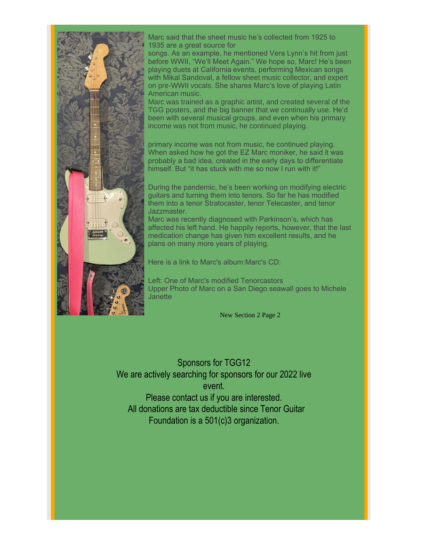

Marc said that the sheet music he's collected from 1925 to 1935 are a great source for

songs. As an example, he mentioned Vera Lynn's hit from just before WWII, "We'll Meet Again." We hope so, Marc! He's been playing duets at California events, performing Mexican songs with Mikal Sandoval, a fellow sheet music collector, and expert on pre-WWII vocals. She shares Marc's love of playing Latin American music.

Marc was trained as a graphic artist, and created several of the TGG posters, and the big banner that we continually use. He'd been with several musical groups, and even when his primary income was not from music, he continued playing.

primary income was not from music, he continued playing. When asked how he got the EZ Marc moniker, he said it was probably a bad idea, created in the early days to differentiate himself. But "it has stuck with me so now I run with it!"

During the pandemic, he's been working on modifying electric guitars and turning them into tenors. So far he has modified them into a tenor Stratocaster, tenor Telecaster, and tenor Jazzmaster.

Marc was recently diagnosed with Parkinson's, which has affected his left hand. He happily reports, however, that the last medication change has given him excellent results, and he plans on many more years of playing.

Here is a link to Marc's album:Marc's CD:

Left: One of Marc's modified Tenorcastors Upper Photo of Marc on a San Diego seawall goes to Michele **Janette** 

New Section 2 Page 2

Sponsors for TGG12 We are actively searching for sponsors for our 2022 live event. Please contact us if you are interested. All donations are tax deductible since Tenor Guitar Foundation is a 501(c)3 organization.